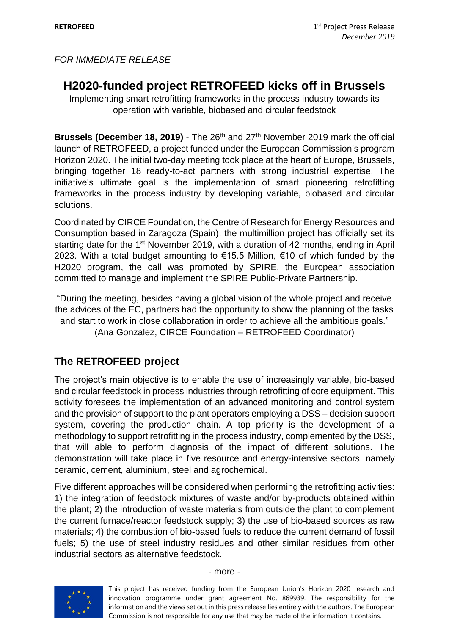# **H2020-funded project RETROFEED kicks off in Brussels**

Implementing smart retrofitting frameworks in the process industry towards its operation with variable, biobased and circular feedstock

**Brussels (December 18, 2019)** - The 26th and 27th November 2019 mark the official launch of RETROFEED, a project funded under the European Commission's program Horizon 2020. The initial two-day meeting took place at the heart of Europe, Brussels, bringing together 18 ready-to-act partners with strong industrial expertise. The initiative's ultimate goal is the implementation of smart pioneering retrofitting frameworks in the process industry by developing variable, biobased and circular solutions.

Coordinated by CIRCE Foundation, the Centre of Research for Energy Resources and Consumption based in Zaragoza (Spain), the multimillion project has officially set its starting date for the 1<sup>st</sup> November 2019, with a duration of 42 months, ending in April 2023. With a total budget amounting to €15.5 Million, €10 of which funded by the H2020 program, the call was promoted by SPIRE, the European association committed to manage and implement the SPIRE Public-Private Partnership.

"During the meeting, besides having a global vision of the whole project and receive the advices of the EC, partners had the opportunity to show the planning of the tasks and start to work in close collaboration in order to achieve all the ambitious goals." (Ana Gonzalez, CIRCE Foundation – RETROFEED Coordinator)

## **The RETROFEED project**

The project's main objective is to enable the use of increasingly variable, bio-based and circular feedstock in process industries through retrofitting of core equipment. This activity foresees the implementation of an advanced monitoring and control system and the provision of support to the plant operators employing a DSS – decision support system, covering the production chain. A top priority is the development of a methodology to support retrofitting in the process industry, complemented by the DSS, that will able to perform diagnosis of the impact of different solutions. The demonstration will take place in five resource and energy-intensive sectors, namely ceramic, cement, aluminium, steel and agrochemical.

Five different approaches will be considered when performing the retrofitting activities: 1) the integration of feedstock mixtures of waste and/or by-products obtained within the plant; 2) the introduction of waste materials from outside the plant to complement the current furnace/reactor feedstock supply; 3) the use of bio-based sources as raw materials; 4) the combustion of bio-based fuels to reduce the current demand of fossil fuels; 5) the use of steel industry residues and other similar residues from other industrial sectors as alternative feedstock.



#### - more -

This project has received funding from the European Union's Horizon 2020 research and innovation programme under grant agreement No. 869939. The responsibility for the information and the views set out in this press release lies entirely with the authors. The European Commission is not responsible for any use that may be made of the information it contains.